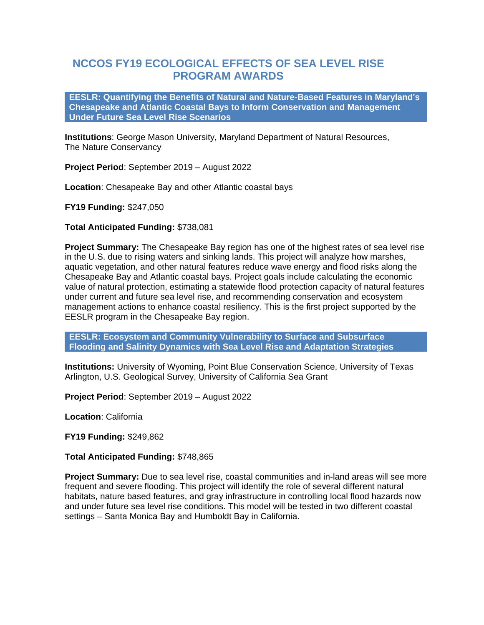## **NCCOS FY19 ECOLOGICAL EFFECTS OF SEA LEVEL RISE PROGRAM AWARDS**

**EESLR: Quantifying the Benefits of Natural and Nature-Based Features in Maryland's Chesapeake and Atlantic Coastal Bays to Inform Conservation and Management Under Future Sea Level Rise Scenarios**

**Institutions**: George Mason University, Maryland Department of Natural Resources, The Nature Conservancy

**Project Period**: September 2019 – August 2022

**Location**: Chesapeake Bay and other Atlantic coastal bays

**FY19 Funding:** \$247,050

**Total Anticipated Funding:** \$738,081

**Project Summary:** The Chesapeake Bay region has one of the highest rates of sea level rise in the U.S. due to rising waters and sinking lands. This project will analyze how marshes, aquatic vegetation, and other natural features reduce wave energy and flood risks along the Chesapeake Bay and Atlantic coastal bays. Project goals include calculating the economic value of natural protection, estimating a statewide flood protection capacity of natural features under current and future sea level rise, and recommending conservation and ecosystem management actions to enhance coastal resiliency. This is the first project supported by the EESLR program in the Chesapeake Bay region.

**EESLR: Ecosystem and Community Vulnerability to Surface and Subsurface Flooding and Salinity Dynamics with Sea Level Rise and Adaptation Strategies**

**Institutions:** University of Wyoming, Point Blue Conservation Science, University of Texas Arlington, U.S. Geological Survey, University of California Sea Grant

**Project Period**: September 2019 – August 2022

**Location**: California

**FY19 Funding:** \$249,862

**Total Anticipated Funding:** \$748,865

**Project Summary:** Due to sea level rise, coastal communities and in-land areas will see more frequent and severe flooding. This project will identify the role of several different natural habitats, nature based features, and gray infrastructure in controlling local flood hazards now and under future sea level rise conditions. This model will be tested in two different coastal settings – Santa Monica Bay and Humboldt Bay in California.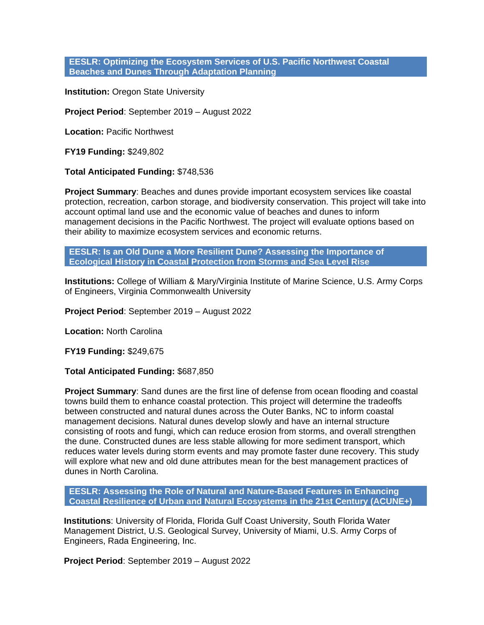## **EESLR: Optimizing the Ecosystem Services of U.S. Pacific Northwest Coastal Beaches and Dunes Through Adaptation Planning**

**Institution: Oregon State University** 

**Project Period**: September 2019 – August 2022

**Location:** Pacific Northwest

**FY19 Funding:** \$249,802

**Total Anticipated Funding:** \$748,536

**Project Summary**: Beaches and dunes provide important ecosystem services like coastal protection, recreation, carbon storage, and biodiversity conservation. This project will take into account optimal land use and the economic value of beaches and dunes to inform management decisions in the Pacific Northwest. The project will evaluate options based on their ability to maximize ecosystem services and economic returns.

**EESLR: Is an Old Dune a More Resilient Dune? Assessing the Importance of Ecological History in Coastal Protection from Storms and Sea Level Rise**

**Institutions:** College of William & Mary/Virginia Institute of Marine Science, U.S. Army Corps of Engineers, Virginia Commonwealth University

**Project Period**: September 2019 – August 2022

**Location:** North Carolina

**FY19 Funding:** \$249,675

**Total Anticipated Funding:** \$687,850

**Project Summary**: Sand dunes are the first line of defense from ocean flooding and coastal towns build them to enhance coastal protection. This project will determine the tradeoffs between constructed and natural dunes across the Outer Banks, NC to inform coastal management decisions. Natural dunes develop slowly and have an internal structure consisting of roots and fungi, which can reduce erosion from storms, and overall strengthen the dune. Constructed dunes are less stable allowing for more sediment transport, which reduces water levels during storm events and may promote faster dune recovery. This study will explore what new and old dune attributes mean for the best management practices of dunes in North Carolina.

**EESLR: Assessing the Role of Natural and Nature-Based Features in Enhancing Coastal Resilience of Urban and Natural Ecosystems in the 21st Century (ACUNE+)**

**Institutions**: University of Florida, Florida Gulf Coast University, South Florida Water Management District, U.S. Geological Survey, University of Miami, U.S. Army Corps of Engineers, Rada Engineering, Inc.

**Project Period**: September 2019 – August 2022